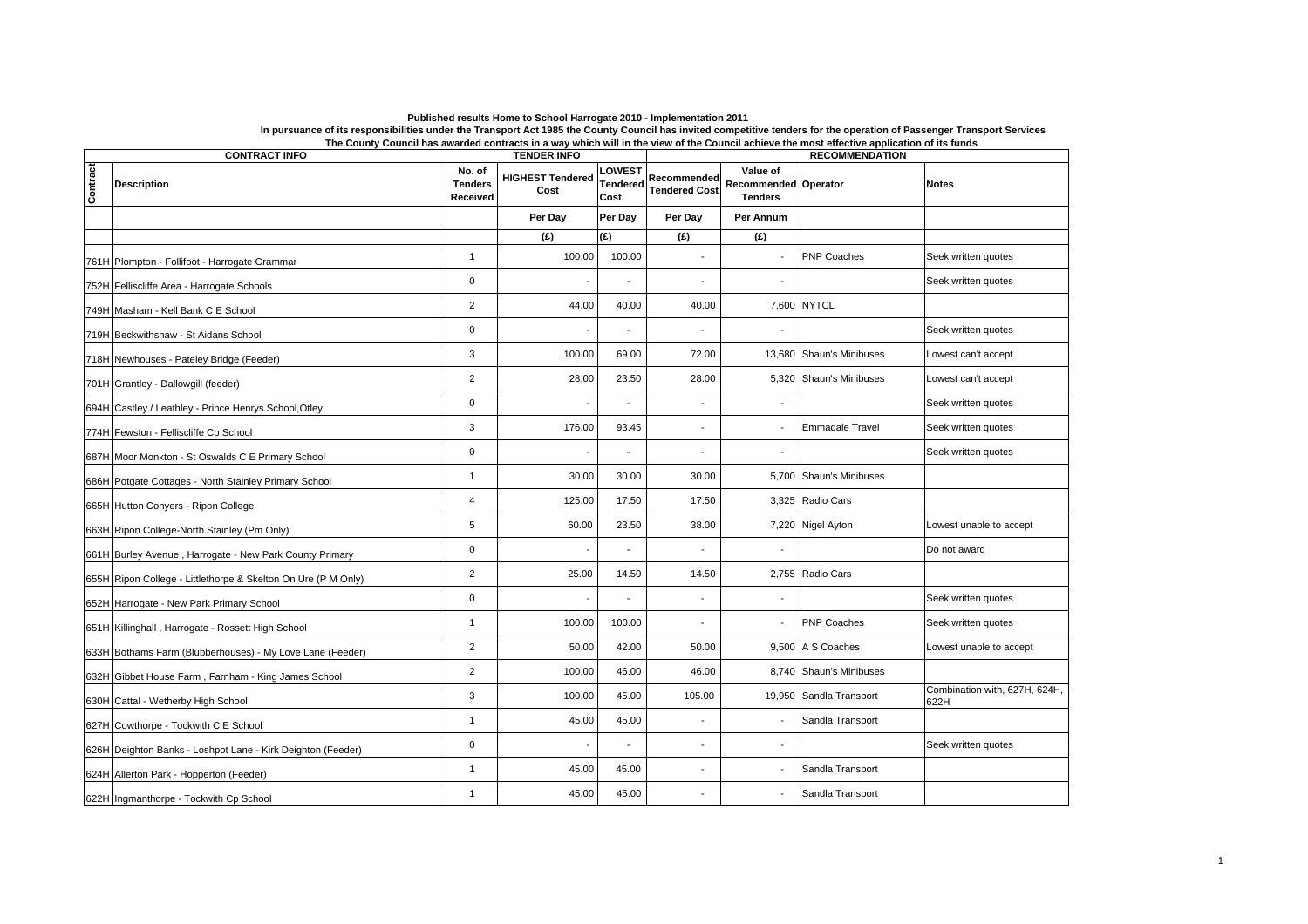|          |                                                               |                                      |                                                       |                                         |                                     | The Ovanty Ovanon has awarded contracts in a way which will he wew or the Ovanon achieve the most enceme application or its funds |                        |                                       |  |  |
|----------|---------------------------------------------------------------|--------------------------------------|-------------------------------------------------------|-----------------------------------------|-------------------------------------|-----------------------------------------------------------------------------------------------------------------------------------|------------------------|---------------------------------------|--|--|
| Contract | <b>CONTRACT INFO</b><br><b>Description</b>                    | No. of<br><b>Tenders</b><br>Received | <b>TENDER INFO</b><br><b>HIGHEST Tendered</b><br>Cost | <b>OWEST</b><br><b>Tendered</b><br>Cost | Recommended<br><b>Tendered Cost</b> | Value of<br><b>Recommended Operator</b><br><b>Tenders</b>                                                                         | <b>RECOMMENDATION</b>  | <b>Notes</b>                          |  |  |
|          |                                                               |                                      | Per Day                                               | Per Day                                 | Per Day                             | Per Annum                                                                                                                         |                        |                                       |  |  |
|          |                                                               |                                      | (E)                                                   | (E)                                     | f(x)                                | (£)                                                                                                                               |                        |                                       |  |  |
|          | 761H Plompton - Follifoot - Harrogate Grammar                 | $\overline{1}$                       | 100.00                                                | 100.00                                  | ٠                                   |                                                                                                                                   | <b>PNP Coaches</b>     | Seek written quotes                   |  |  |
|          | 752H Felliscliffe Area - Harrogate Schools                    | $\mathbf 0$                          |                                                       |                                         | Ĭ.                                  |                                                                                                                                   |                        | Seek written quotes                   |  |  |
|          | 749H Masham - Kell Bank C E School                            | $\overline{2}$                       | 44.00                                                 | 40.00                                   | 40.00                               |                                                                                                                                   | 7,600 NYTCL            |                                       |  |  |
|          | 719H Beckwithshaw - St Aidans School                          | $\mathbf 0$                          |                                                       |                                         | ä,                                  | $\blacksquare$                                                                                                                    |                        | Seek written quotes                   |  |  |
|          | 718H Newhouses - Pateley Bridge (Feeder)                      | 3                                    | 100.00                                                | 69.00                                   | 72.00                               | 13,680                                                                                                                            | Shaun's Minibuses      | Lowest can't accept                   |  |  |
|          | 701H Grantley - Dallowgill (feeder)                           | $\overline{2}$                       | 28.00                                                 | 23.50                                   | 28.00                               | 5,320                                                                                                                             | Shaun's Minibuses      | Lowest can't accept                   |  |  |
|          | 694H Castley / Leathley - Prince Henrys School, Otley         | $\mathbf 0$                          |                                                       |                                         |                                     |                                                                                                                                   |                        | Seek written quotes                   |  |  |
|          | 774H Fewston - Felliscliffe Cp School                         | 3                                    | 176.00                                                | 93.45                                   | ٠                                   | $\blacksquare$                                                                                                                    | <b>Emmadale Travel</b> | Seek written quotes                   |  |  |
|          | 687H Moor Monkton - St Oswalds C E Primary School             | $\mathbf 0$                          |                                                       |                                         | ٠                                   | $\overline{\phantom{a}}$                                                                                                          |                        | Seek written quotes                   |  |  |
|          | 686H Potgate Cottages - North Stainley Primary School         | $\mathbf{1}$                         | 30.00                                                 | 30.00                                   | 30.00                               | 5,700                                                                                                                             | Shaun's Minibuses      |                                       |  |  |
|          | 665H Hutton Conyers - Ripon College                           | $\overline{4}$                       | 125.00                                                | 17.50                                   | 17.50                               | 3,325                                                                                                                             | Radio Cars             |                                       |  |  |
|          | 663H Ripon College-North Stainley (Pm Only)                   | 5                                    | 60.00                                                 | 23.50                                   | 38.00                               |                                                                                                                                   | 7,220 Nigel Ayton      | Lowest unable to accept               |  |  |
|          | 661H Burley Avenue, Harrogate - New Park County Primary       | $\mathbf 0$                          |                                                       |                                         |                                     | $\blacksquare$                                                                                                                    |                        | Do not award                          |  |  |
|          | 655H Ripon College - Littlethorpe & Skelton On Ure (P M Only) | $\overline{2}$                       | 25.00                                                 | 14.50                                   | 14.50                               | 2,755                                                                                                                             | Radio Cars             |                                       |  |  |
|          | 652H Harrogate - New Park Primary School                      | $\mathbf 0$                          |                                                       |                                         |                                     | $\overline{\phantom{a}}$                                                                                                          |                        | Seek written quotes                   |  |  |
|          | 651H Killinghall, Harrogate - Rossett High School             | $\mathbf{1}$                         | 100.00                                                | 100.00                                  |                                     |                                                                                                                                   | <b>PNP Coaches</b>     | Seek written quotes                   |  |  |
|          | 633H Bothams Farm (Blubberhouses) - My Love Lane (Feeder)     | $\overline{c}$                       | 50.00                                                 | 42.00                                   | 50.00                               |                                                                                                                                   | 9,500 A S Coaches      | Lowest unable to accept               |  |  |
|          | 632H Gibbet House Farm, Farnham - King James School           | $\overline{2}$                       | 100.00                                                | 46.00                                   | 46.00                               | 8,740                                                                                                                             | Shaun's Minibuses      |                                       |  |  |
|          | 630H Cattal - Wetherby High School                            | 3                                    | 100.00                                                | 45.00                                   | 105.00                              | 19,950                                                                                                                            | Sandla Transport       | Combination with, 627H, 624H,<br>622H |  |  |
|          | 627H Cowthorpe - Tockwith C E School                          | $\overline{1}$                       | 45.00                                                 | 45.00                                   |                                     |                                                                                                                                   | Sandla Transport       |                                       |  |  |
|          | 626H Deighton Banks - Loshpot Lane - Kirk Deighton (Feeder)   | $\mathbf 0$                          |                                                       |                                         | ٠                                   | $\blacksquare$                                                                                                                    |                        | Seek written quotes                   |  |  |
|          | 624H Allerton Park - Hopperton (Feeder)                       | $\mathbf{1}$                         | 45.00                                                 | 45.00                                   | $\overline{\phantom{0}}$            | $\overline{\phantom{a}}$                                                                                                          | Sandla Transport       |                                       |  |  |
|          | 622H Ingmanthorpe - Tockwith Cp School                        | $\mathbf{1}$                         | 45.00                                                 | 45.00                                   |                                     |                                                                                                                                   | Sandla Transport       |                                       |  |  |

## Published results Home to School Harrogate 2010 - Implementation 2011<br>In pursuance of its responsibilities under the Transport Act 1985 the County Council has invited competitive tenders for the operation of Passenger Tran **The County Council has awarded contracts in a way which will in the view of the Council achieve the most effective application of its funds**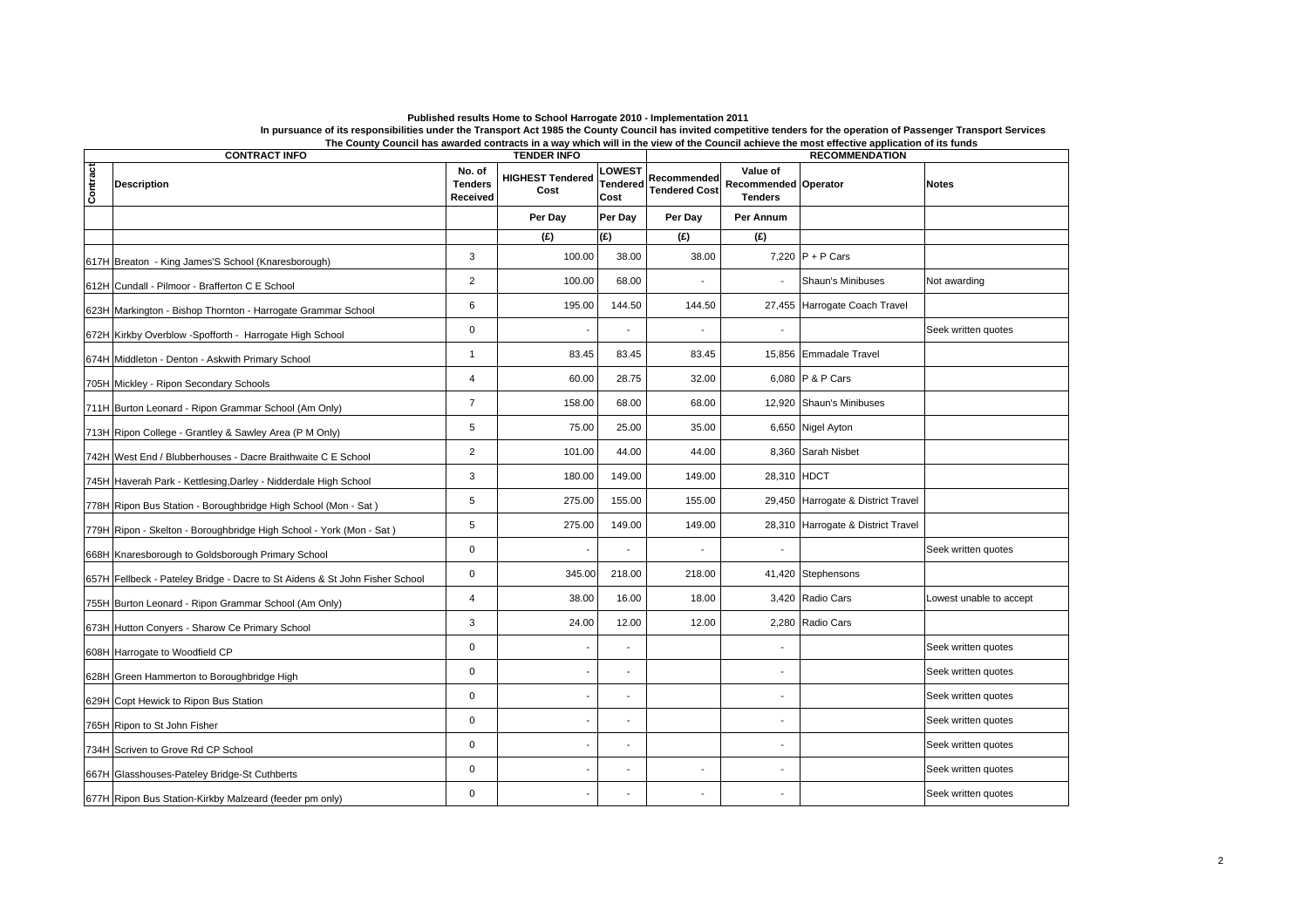| <b>TENDER INFO</b><br><b>CONTRACT INFO</b> |                                                                             |                                      |                                 |                                   |                                     | The Obamy Obanon has awarded contracts in a way which will he view of the Obanon achieve the most enceme application of its funds<br><b>RECOMMENDATION</b> |                                    |                         |  |  |
|--------------------------------------------|-----------------------------------------------------------------------------|--------------------------------------|---------------------------------|-----------------------------------|-------------------------------------|------------------------------------------------------------------------------------------------------------------------------------------------------------|------------------------------------|-------------------------|--|--|
| Contract                                   | <b>Description</b>                                                          | No. of<br><b>Tenders</b><br>Received | <b>HIGHEST Tendered</b><br>Cost | <b>LOWEST</b><br>Tendered<br>Cost | Recommended<br><b>Tendered Cost</b> | Value of<br><b>Recommended Operator</b><br><b>Tenders</b>                                                                                                  |                                    | <b>Notes</b>            |  |  |
|                                            |                                                                             |                                      | Per Day                         | Per Day                           | Per Day                             | Per Annum                                                                                                                                                  |                                    |                         |  |  |
|                                            |                                                                             |                                      | (E)                             | (E)                               | (E)                                 | (E)                                                                                                                                                        |                                    |                         |  |  |
|                                            | 617H Breaton - King James'S School (Knaresborough)                          | 3                                    | 100.00                          | 38.00                             | 38.00                               |                                                                                                                                                            | 7,220 $P + P$ Cars                 |                         |  |  |
|                                            | 612H Cundall - Pilmoor - Brafferton C E School                              | $\overline{2}$                       | 100.00                          | 68.00                             |                                     |                                                                                                                                                            | Shaun's Minibuses                  | Not awarding            |  |  |
|                                            | 623H Markington - Bishop Thornton - Harrogate Grammar School                | $\,6$                                | 195.00                          | 144.50                            | 144.50                              |                                                                                                                                                            | 27,455 Harrogate Coach Travel      |                         |  |  |
|                                            | 672H Kirkby Overblow -Spofforth - Harrogate High School                     | $\mathbf 0$                          | L,                              |                                   |                                     |                                                                                                                                                            |                                    | Seek written quotes     |  |  |
|                                            | 674H Middleton - Denton - Askwith Primary School                            | $\overline{1}$                       | 83.45                           | 83.45                             | 83.45                               |                                                                                                                                                            | 15,856 Emmadale Travel             |                         |  |  |
|                                            | 705H Mickley - Ripon Secondary Schools                                      | $\overline{4}$                       | 60.00                           | 28.75                             | 32.00                               |                                                                                                                                                            | 6,080 P & P Cars                   |                         |  |  |
|                                            | 711H Burton Leonard - Ripon Grammar School (Am Only)                        | $\overline{7}$                       | 158.00                          | 68.00                             | 68.00                               |                                                                                                                                                            | 12,920 Shaun's Minibuses           |                         |  |  |
|                                            | 713H Ripon College - Grantley & Sawley Area (P M Only)                      | 5                                    | 75.00                           | 25.00                             | 35.00                               |                                                                                                                                                            | 6,650 Nigel Ayton                  |                         |  |  |
|                                            | 742H West End / Blubberhouses - Dacre Braithwaite C E School                | $\overline{2}$                       | 101.00                          | 44.00                             | 44.00                               | 8,360                                                                                                                                                      | Sarah Nisbet                       |                         |  |  |
|                                            | 745H Haverah Park - Kettlesing, Darley - Nidderdale High School             | 3                                    | 180.00                          | 149.00                            | 149.00                              | 28,310 HDCT                                                                                                                                                |                                    |                         |  |  |
|                                            | 778H Ripon Bus Station - Boroughbridge High School (Mon - Sat)              | 5                                    | 275.00                          | 155.00                            | 155.00                              |                                                                                                                                                            | 29,450 Harrogate & District Travel |                         |  |  |
|                                            | 779H Ripon - Skelton - Boroughbridge High School - York (Mon - Sat)         | 5                                    | 275.00                          | 149.00                            | 149.00                              |                                                                                                                                                            | 28,310 Harrogate & District Travel |                         |  |  |
|                                            | 668H Knaresborough to Goldsborough Primary School                           | $\mathbf 0$                          | $\overline{a}$                  |                                   | $\overline{\phantom{a}}$            | $\blacksquare$                                                                                                                                             |                                    | Seek written quotes     |  |  |
|                                            | 657H Fellbeck - Pateley Bridge - Dacre to St Aidens & St John Fisher School | $\mathbf 0$                          | 345.00                          | 218.00                            | 218.00                              |                                                                                                                                                            | 41,420 Stephensons                 |                         |  |  |
|                                            | 755H Burton Leonard - Ripon Grammar School (Am Only)                        | $\overline{4}$                       | 38.00                           | 16.00                             | 18.00                               |                                                                                                                                                            | 3,420 Radio Cars                   | Lowest unable to accept |  |  |
|                                            | 673H Hutton Conyers - Sharow Ce Primary School                              | 3                                    | 24.00                           | 12.00                             | 12.00                               |                                                                                                                                                            | 2,280 Radio Cars                   |                         |  |  |
|                                            | 608H Harrogate to Woodfield CP                                              | $\mathbf 0$                          | $\overline{a}$                  |                                   |                                     |                                                                                                                                                            |                                    | Seek written quotes     |  |  |
|                                            | 628H Green Hammerton to Boroughbridge High                                  | $\mathbf 0$                          | $\overline{\phantom{a}}$        |                                   |                                     |                                                                                                                                                            |                                    | Seek written quotes     |  |  |
|                                            | 629H Copt Hewick to Ripon Bus Station                                       | $\mathbf 0$                          | $\frac{1}{2}$                   |                                   |                                     | $\overline{\phantom{a}}$                                                                                                                                   |                                    | Seek written quotes     |  |  |
|                                            | 765H Ripon to St John Fisher                                                | $\mathbf 0$                          | $\overline{a}$                  |                                   |                                     |                                                                                                                                                            |                                    | Seek written quotes     |  |  |
|                                            | 734H Scriven to Grove Rd CP School                                          | $\mathbf 0$                          | L,                              |                                   |                                     |                                                                                                                                                            |                                    | Seek written quotes     |  |  |
|                                            | 667H Glasshouses-Pateley Bridge-St Cuthberts                                | $\mathbf 0$                          | $\overline{\phantom{a}}$        |                                   | ÷,                                  | $\blacksquare$                                                                                                                                             |                                    | Seek written quotes     |  |  |
|                                            | 677H Ripon Bus Station-Kirkby Malzeard (feeder pm only)                     | $\mathbf 0$                          | $\blacksquare$                  |                                   |                                     | $\blacksquare$                                                                                                                                             |                                    | Seek written quotes     |  |  |

## Published results Home to School Harrogate 2010 - Implementation 2011<br>In pursuance of its responsibilities under the Transport Act 1985 the County Council has invited competitive tenders for the operation of Passenger Tran **The County Council has awarded contracts in a way which will in the view of the Council achieve the most effective application of its funds**